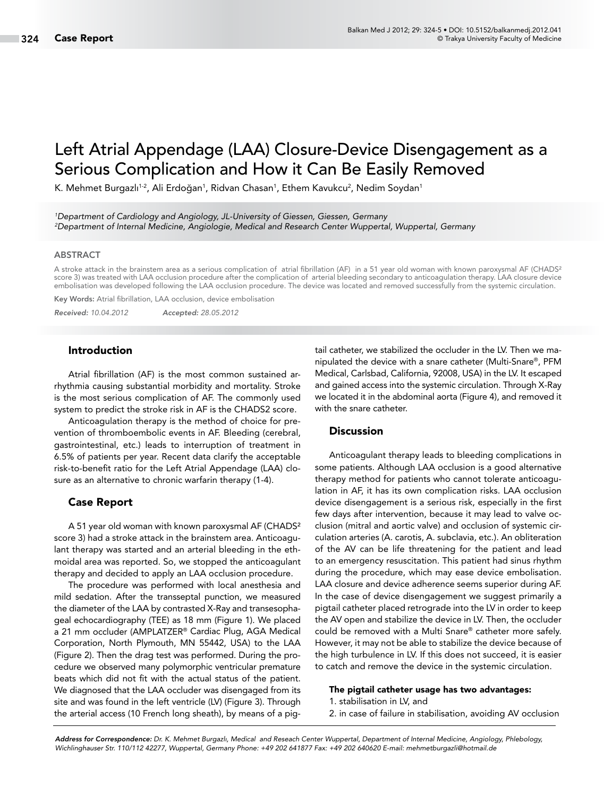# Left Atrial Appendage (LAA) Closure-Device Disengagement as a Serious Complication and How it Can Be Easily Removed

K. Mehmet Burgazlı<sup>1.2</sup>, Ali Erdoğan<sup>1</sup>, Ridvan Chasan<sup>1</sup>, Ethem Kavukcu<sup>2</sup>, Nedim Soydan<sup>1</sup>

*1 Department of Cardiology and Angiology, JL-University of Giessen, Giessen, Germany 2 Department of Internal Medicine, Angiologie, Medical and Research Center Wuppertal, Wuppertal, Germany*

## ABSTRACT

A stroke attack in the brainstem area as a serious complication of atrial fibrillation (AF) in a 51 year old woman with known paroxysmal AF (CHADS² score 3) was treated with LAA occlusion procedure after the complication of arterial bleeding secondary to anticoagulation therapy. LAA closure device embolisation was developed following the LAA occlusion procedure. The device was located and removed successfully from the systemic circulation.

Key Words: Atrial fibrillation, LAA occlusion, device embolisation

*Received: 10.04.2012 Accepted: 28.05.2012*

# Introduction

Atrial fibrillation (AF) is the most common sustained arrhythmia causing substantial morbidity and mortality. Stroke is the most serious complication of AF. The commonly used system to predict the stroke risk in AF is the CHADS2 score.

Anticoagulation therapy is the method of choice for prevention of thromboembolic events in AF. Bleeding (cerebral, gastrointestinal, etc.) leads to interruption of treatment in 6.5% of patients per year. Recent data clarify the acceptable risk-to-benefit ratio for the Left Atrial Appendage (LAA) closure as an alternative to chronic warfarin therapy (1-4).

### Case Report

A 51 year old woman with known paroxysmal AF (CHADS² score 3) had a stroke attack in the brainstem area. Anticoagulant therapy was started and an arterial bleeding in the ethmoidal area was reported. So, we stopped the anticoagulant therapy and decided to apply an LAA occlusion procedure.

The procedure was performed with local anesthesia and mild sedation. After the transseptal punction, we measured the diameter of the LAA by contrasted X-Ray and transesophageal echocardiography (TEE) as 18 mm (Figure 1). We placed a 21 mm occluder (AMPLATZER® Cardiac Plug, AGA Medical Corporation, North Plymouth, MN 55442, USA) to the LAA (Figure 2). Then the drag test was performed. During the procedure we observed many polymorphic ventricular premature beats which did not fit with the actual status of the patient. We diagnosed that the LAA occluder was disengaged from its site and was found in the left ventricle (LV) (Figure 3). Through the arterial access (10 French long sheath), by means of a pigtail catheter, we stabilized the occluder in the LV. Then we manipulated the device with a snare catheter (Multi-Snare®, PFM Medical, Carlsbad, California, 92008, USA) in the LV. It escaped and gained access into the systemic circulation. Through X-Ray we located it in the abdominal aorta (Figure 4), and removed it with the snare catheter.

## **Discussion**

Anticoagulant therapy leads to bleeding complications in some patients. Although LAA occlusion is a good alternative therapy method for patients who cannot tolerate anticoagulation in AF, it has its own complication risks. LAA occlusion device disengagement is a serious risk, especially in the first few days after intervention, because it may lead to valve occlusion (mitral and aortic valve) and occlusion of systemic circulation arteries (A. carotis, A. subclavia, etc.). An obliteration of the AV can be life threatening for the patient and lead to an emergency resuscitation. This patient had sinus rhythm during the procedure, which may ease device embolisation. LAA closure and device adherence seems superior during AF. In the case of device disengagement we suggest primarily a pigtail catheter placed retrograde into the LV in order to keep the AV open and stabilize the device in LV. Then, the occluder could be removed with a Multi Snare® catheter more safely. However, it may not be able to stabilize the device because of the high turbulence in LV. If this does not succeed, it is easier to catch and remove the device in the systemic circulation.

## The pigtail catheter usage has two advantages:

- 1. stabilisation in LV, and
- 2. in case of failure in stabilisation, avoiding AV occlusion

*Address for Correspondence: Dr. K. Mehmet Burgazlı, Medical and Reseach Center Wuppertal, Department of Internal Medicine, Angiology, Phlebology, Wichlinghauser Str. 110/112 42277, Wuppertal, Germany Phone: +49 202 641877 Fax: +49 202 640620 E-mail: mehmetburgazli@hotmail.de*